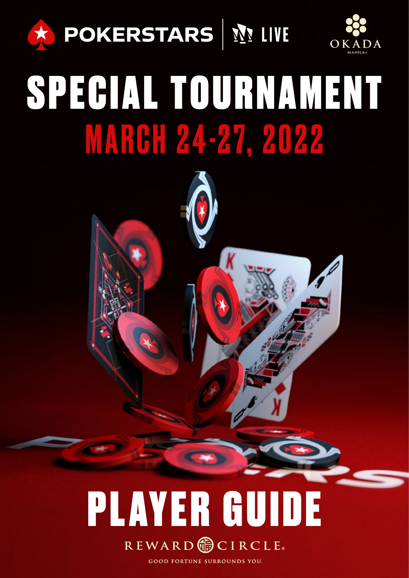



# SPECIAL TOURNAMENT **MARGH 24-27, 2022**



**GOOD FORTUNE SURROUNDS YOU.**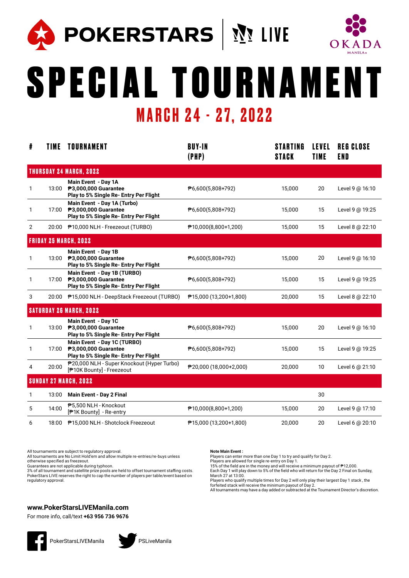

**A POKERSTARS** | ME



# SPECIAL TOURNAMENT MARCH 24 - 27, 2022

| #              | <b>TIME</b> | <b>TOURNAMENT</b>                                                                             | <b>BUY-IN</b><br>(PHP)               | <b>STARTING</b><br><b>STACK</b> | <b>LEVEL</b><br><b>TIME</b> | <b>REG CLOSE</b><br>END |  |
|----------------|-------------|-----------------------------------------------------------------------------------------------|--------------------------------------|---------------------------------|-----------------------------|-------------------------|--|
|                |             | <b>THURSDAY 24 MARCH, 2022</b>                                                                |                                      |                                 |                             |                         |  |
| 1              | 13:00       | Main Event - Day 1A<br>₱3,000,000 Guarantee<br>Play to 5% Single Re- Entry Per Flight         | $\overline{P}$ 6,600(5,808+792)      | 15,000                          | 20                          | Level 9 @ 16:10         |  |
| 1              | 17:00       | Main Event - Day 1A (Turbo)<br>₱3,000,000 Guarantee<br>Play to 5% Single Re- Entry Per Flight | ₱6,600(5,808+792)                    | 15,000                          | 15                          | Level 9 @ 19:25         |  |
| $\overline{2}$ |             | 20:00 P10,000 NLH - Freezeout (TURBO)                                                         | $\overline{P}$ 10,000(8,800+1,200)   | 15,000                          | 15                          | Level 8 @ 22:10         |  |
|                |             | <b>FRIDAY 25 MARCH, 2022</b>                                                                  |                                      |                                 |                             |                         |  |
| 1              | 13:00       | Main Event - Day 1B<br>₱3,000,000 Guarantee<br>Play to 5% Single Re- Entry Per Flight         | $\overline{P}$ 6,600(5,808+792)      | 15,000                          | 20                          | Level 9 @ 16:10         |  |
| 1              | 17:00       | Main Event - Day 1B (TURBO)<br>₱3,000,000 Guarantee<br>Play to 5% Single Re- Entry Per Flight | $\overline{P}$ 6,600(5,808+792)      | 15,000                          | 15                          | Level 9 @ 19:25         |  |
| 3              |             | 20:00 ₱15,000 NLH - DeepStack Freezeout (TURBO)                                               | $\overline{P}$ 15,000 (13,200+1,800) | 20,000                          | 15                          | Level 8 @ 22:10         |  |
|                |             | <b>SATURDAY 26 MARCH, 2022</b>                                                                |                                      |                                 |                             |                         |  |
| 1              | 13:00       | Main Event - Day 1C<br>₱3,000,000 Guarantee<br>Play to 5% Single Re- Entry Per Flight         | $\overline{P}$ 6,600(5,808+792)      | 15,000                          | 20                          | Level 9 @ 16:10         |  |
| 1              | 17:00       | Main Event - Day 1C (TURBO)<br>₱3,000,000 Guarantee<br>Play to 5% Single Re- Entry Per Flight | $\overline{P}$ 6,600(5,808+792)      | 15,000                          | 15                          | Level 9 @ 19:25         |  |
| 4              | 20:00       | P20,000 NLH - Super Knockout (Hyper Turbo)<br>[ <sup>P</sup> 10K Bounty] - Freezeout          | $\overline{P}$ 20,000 (18,000+2,000) | 20,000                          | 10                          | Level 6 @ 21:10         |  |
|                |             | <b>SUNDAY 27 MARCH, 2022</b>                                                                  |                                      |                                 |                             |                         |  |
| 1              | 13:00       | Main Event - Day 2 Final                                                                      |                                      |                                 | 30                          |                         |  |
| 5              | 14:00       | ₱5,500 NLH - Knockout<br>[ <sup>†</sup> TK Bounty] - Re-entry                                 | $\overline{P}$ 10,000(8,800+1,200)   | 15,000                          | 20                          | Level 9 @ 17:10         |  |
| 6              | 18:00       | ₱15,000 NLH - Shotclock Freezeout                                                             | $\overline{P}$ 15,000 (13,200+1,800) | 20,000                          | 20                          | Level 6 @ 20:10         |  |

All tournaments are subject to regulatory approval.

All tournaments are No Limit Hold'em and allow multiple re-entries/re-buys unless otherwise specified as freezeout.

Guarantees are not applicable during typhoon.

3% of all tournament and satellite prize pools are held to offset tournament staffing costs. PokerStars LIVE reserves the right to cap the number of players per table/event based on regulatory approval.

#### **Note Main Event :**

Players can enter more than one Day 1 to try and qualify for Day 2.

Players are allowed for single re-entry on Day 1.<br>15% of the field are in the money and will receive a minimum payout of ₱12,000.

Each Day 1 will play down to 5% of the field who will return for the Day 2 Final on Sunday, March 27 at 13:00.

Players who qualify multiple times for Day 2 will only play their largest Day 1 stack , the

forfeited stack will receive the minimum payout of Day 2. All tournaments may have a day added or subtracted at the Tournament Director's discretion.

### **www.PokerStarsLIVEManila.com**



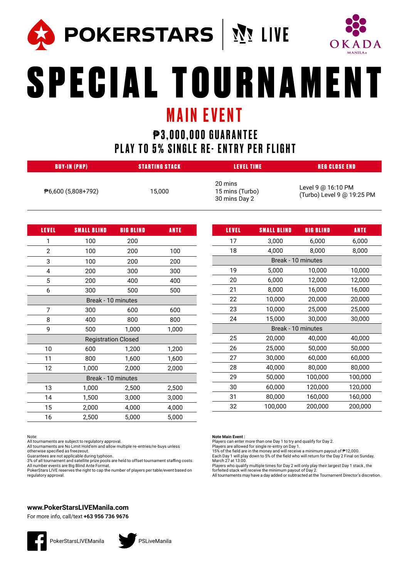

) POKERSTARS | སྲུ་ LIVE



# SPECIAL TOURNAMENT MAIN EVENT

## $P3,000,000$  **GUARANTEE** PLAY TO 5% SINGLE RE- ENTRY PER FLIGHT

| <b>BUY-IN (PHP)</b>              | <b>STARTING STACK</b> | <b>LEVEL TIME</b>                           | REG CLOSE END                                    |
|----------------------------------|-----------------------|---------------------------------------------|--------------------------------------------------|
| $\overline{P}$ 6,600 (5,808+792) | 15.000                | 20 mins<br>15 mins (Turbo)<br>30 mins Day 2 | Level 9 @ 16:10 PM<br>(Turbo) Level 9 @ 19:25 PM |

| <b>LEVEL</b>       | <b>SMALL BLIND</b>         | <b>BIG BLIND</b> | ANTE  |  |  |  |  |
|--------------------|----------------------------|------------------|-------|--|--|--|--|
| 1                  | 100                        | 200              |       |  |  |  |  |
| 2                  | 100                        | 200              | 100   |  |  |  |  |
| 3                  | 100                        | 200              | 200   |  |  |  |  |
| 4                  | 200                        | 300              | 300   |  |  |  |  |
| 5                  | 200                        | 400              | 400   |  |  |  |  |
| 6                  | 300                        | 500              | 500   |  |  |  |  |
| Break - 10 minutes |                            |                  |       |  |  |  |  |
| 7                  | 300                        | 600              | 600   |  |  |  |  |
| 8                  | 400                        | 800              | 800   |  |  |  |  |
| 9                  | 500                        | 1,000            | 1,000 |  |  |  |  |
|                    | <b>Registration Closed</b> |                  |       |  |  |  |  |
| 10                 | 600                        | 1,200            | 1,200 |  |  |  |  |
| 11                 | 800                        | 1,600            | 1,600 |  |  |  |  |
| 12                 | 1,000                      | 2,000            | 2,000 |  |  |  |  |
|                    | Break - 10 minutes         |                  |       |  |  |  |  |
| 13                 | 1,000                      | 2,500            | 2,500 |  |  |  |  |
| 14                 | 1,500                      | 3,000            | 3,000 |  |  |  |  |
| 15                 | 2,000                      | 4,000            | 4,000 |  |  |  |  |
| 16                 | 2,500                      | 5,000            | 5,000 |  |  |  |  |

| LEVEL              | <b>SMALL BLIND</b> | <b>BIG BLIND</b> | <b>ANTE</b> |  |  |  |  |  |
|--------------------|--------------------|------------------|-------------|--|--|--|--|--|
| 17                 | 3,000              | 6,000            | 6,000       |  |  |  |  |  |
| 18                 | 4,000              | 8,000            | 8,000       |  |  |  |  |  |
| Break - 10 minutes |                    |                  |             |  |  |  |  |  |
| 19                 | 5,000              | 10,000           | 10,000      |  |  |  |  |  |
| 20                 | 6,000              | 12,000           | 12,000      |  |  |  |  |  |
| 21                 | 8,000              | 16,000           | 16,000      |  |  |  |  |  |
| 22                 | 10,000             | 20,000           | 20,000      |  |  |  |  |  |
| 23                 | 10,000             | 25,000           | 25,000      |  |  |  |  |  |
| 24                 | 15,000             | 30,000           | 30,000      |  |  |  |  |  |
|                    | Break - 10 minutes |                  |             |  |  |  |  |  |
| 25                 | 20,000             | 40,000           | 40,000      |  |  |  |  |  |
| 26                 | 25,000             | 50,000           | 50,000      |  |  |  |  |  |
| 27                 | 30,000             | 60,000           | 60,000      |  |  |  |  |  |
| 28                 | 40,000             | 80,000           | 80,000      |  |  |  |  |  |
| 29                 | 50,000             | 100,000          | 100,000     |  |  |  |  |  |
| 30                 | 60,000             | 120,000          | 120,000     |  |  |  |  |  |
| 31                 | 80,000             | 160,000          | 160,000     |  |  |  |  |  |
| 32                 | 100,000            | 200,000          | 200,000     |  |  |  |  |  |

#### Note:

All tournaments are subject to regulatory approval.

All tournaments are No Limit Hold'em and allow multiple re-entries/re-buys unless otherwise specified as freezeout.

Guarantees are not applicable during typhoon. 3% of all tournament and satellite prize pools are held to offset tournament staffing costs.

All number events are Big Blind Ante Format. PokerStars LIVE reserves the right to cap the number of players per table/event based on regulatory approval.

#### **www.PokerStarsLIVEManila.com**

For more info, call/text **+63 956 736 9676**





#### **Note Main Event :**

Players can enter more than one Day 1 to try and qualify for Day 2.

Players are allowed for single re-entry on Day 1.<br>15% of the field are in the money and will receive a minimum payout of ₱12,000. Each Day 1 will play down to 5% of the field who will return for the Day 2 Final on Sunday, March 27 at 13:00.

Players who qualify multiple times for Day 2 will only play their largest Day 1 stack , the forfeited stack will receive the minimum payout of Day 2.

All tournaments may have a day added or subtracted at the Tournament Director's discretion.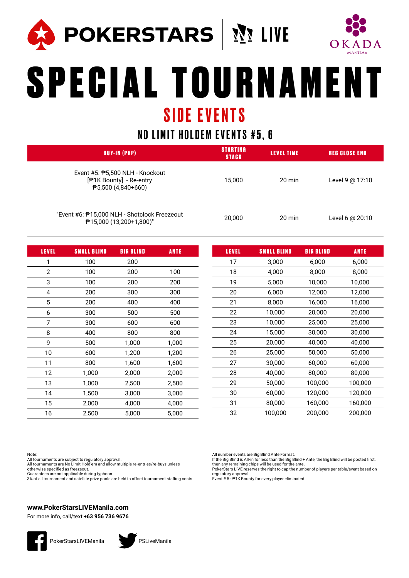



# SPECIAL TOURNAMENT SIDE EVENTS

## NO LIMIT HOLDEM EVENTS #5, 6

| <b>BUY-IN (PHP)</b>                                                                                          | <b>STARTING</b><br><b>STACK</b> | LEVEL TIME       | <b>REG CLOSE END</b> |
|--------------------------------------------------------------------------------------------------------------|---------------------------------|------------------|----------------------|
| Event #5: $P$ 5,500 NLH - Knockout<br>[ <sup>∌</sup> 1K Bounty] - Re-entry<br>$\overline{P}5,500(4,840+660)$ | 15.000                          | $20 \text{ min}$ | Level 9 @ 17:10      |
| "Event #6: ₱15,000 NLH - Shotclock Freezeout<br>₱15,000 (13,200+1,800)"                                      | 20,000                          | $20 \text{ min}$ | Level 6 @ 20:10      |

| <b>LEVEL</b>   | <b>SMALL BLIND</b> | <b>BIG BLIND</b> | <b>ANTE</b> | <b>LEVEL</b> | <b>SMALL BLIND</b> | <b>BIG BLIND</b> | <b>ANTE</b> |
|----------------|--------------------|------------------|-------------|--------------|--------------------|------------------|-------------|
| 1              | 100                | 200              |             | 17           | 3,000              | 6,000            | 6,000       |
| $\overline{2}$ | 100                | 200              | 100         | 18           | 4,000              | 8,000            | 8,000       |
| 3              | 100                | 200              | 200         | 19           | 5,000              | 10,000           | 10,000      |
| 4              | 200                | 300              | 300         | 20           | 6,000              | 12,000           | 12,000      |
| 5              | 200                | 400              | 400         | 21           | 8,000              | 16,000           | 16,000      |
| 6              | 300                | 500              | 500         | 22           | 10,000             | 20,000           | 20,000      |
| 7              | 300                | 600              | 600         | 23           | 10,000             | 25,000           | 25,000      |
| 8              | 400                | 800              | 800         | 24           | 15,000             | 30,000           | 30,000      |
| 9              | 500                | 1,000            | 1,000       | 25           | 20,000             | 40,000           | 40,000      |
| 10             | 600                | 1,200            | 1,200       | 26           | 25,000             | 50,000           | 50,000      |
| 11             | 800                | 1,600            | 1,600       | 27           | 30,000             | 60,000           | 60,000      |
| 12             | 1,000              | 2,000            | 2,000       | 28           | 40,000             | 80,000           | 80,000      |
| 13             | 1.000              | 2,500            | 2,500       | 29           | 50,000             | 100,000          | 100,000     |
| 14             | 1,500              | 3,000            | 3,000       | 30           | 60,000             | 120,000          | 120,000     |
| 15             | 2,000              | 4,000            | 4,000       | 31           | 80,000             | 160,000          | 160,000     |
| 16             | 2,500              | 5,000            | 5,000       | 32           | 100,000            | 200,000          | 200,000     |

Note:

All tournaments are subject to regulatory approval. All tournaments are No Limit Hold'em and allow multiple re-entries/re-buys unless otherwise specified as freezeout.

Guarantees are not applicable during typhoon.

3% of all tournament and satellite prize pools are held to offset tournament staffing costs.

All number events are Big Blind Ante Format.

If the Big Blind is All-in for less than the Big Blind + Ante, the Big Blind will be posted first, then any remaining chips will be used for the ante.

PokerStars LIVE reserves the right to cap the number of players per table/event based on regulatory approval. Event # 5 - ₱1K Bounty for every player eliminated

### **www.PokerStarsLIVEManila.com**



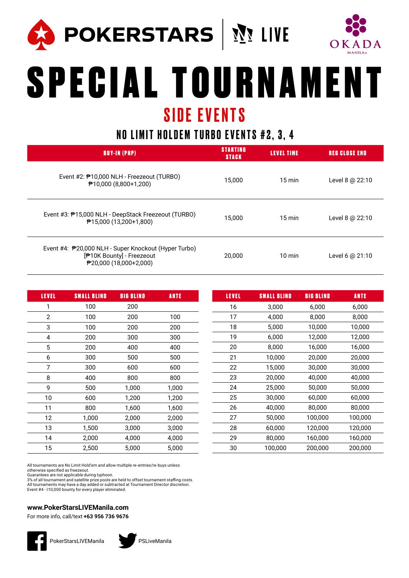



# SPECIAL TOURNAMENT SIDE EVENTS

## NO LIMIT HOLDEM TURBO EVENTS #2, 3, 4

| <b>BUY-IN (PHP)</b>                                                                                                                    | <b>STARTING</b><br><b>STACK</b> | LEVEL TIME       | <b>REG CLOSE END</b> |
|----------------------------------------------------------------------------------------------------------------------------------------|---------------------------------|------------------|----------------------|
| Event #2: ₱10,000 NLH - Freezeout (TURBO)<br>$\sqrt{210,000}$ (8,800+1,200)                                                            | 15.000                          | $15 \text{ min}$ | Level 8 $@$ 22:10    |
| Event #3: ₱15,000 NLH - DeepStack Freezeout (TURBO)<br>₱15,000 (13,200+1,800)                                                          | 15.000                          | $15 \text{ min}$ | Level 8 @ 22:10      |
| Event #4: ₱20,000 NLH - Super Knockout (Hyper Turbo)<br>[ <sup>#</sup> 10K Bounty] - Freezeout<br>$\overline{P}$ 20,000 (18,000+2,000) | 20,000                          | $10 \text{ min}$ | Level 6 @ 21:10      |

| <b>LEVEL</b>   | <b>SMALL BLIND</b> | <b>BIG BLIND</b> | <b>ANTE</b> |
|----------------|--------------------|------------------|-------------|
| 1              | 100                | 200              |             |
| $\overline{2}$ | 100                | 200              | 100         |
| 3              | 100                | 200              | 200         |
| 4              | 200                | 300              | 300         |
| 5              | 200                | 400              | 400         |
| 6              | 300                | 500              | 500         |
| 7              | 300                | 600              | 600         |
| 8              | 400                | 800              | 800         |
| 9              | 500                | 1,000            | 1,000       |
| 10             | 600                | 1,200            | 1,200       |
| 11             | 800                | 1,600            | 1,600       |
| 12             | 1,000              | 2,000            | 2,000       |
| 13             | 1,500              | 3,000            | 3,000       |
| 14             | 2,000              | 4,000            | 4,000       |
| 15             | 2,500              | 5,000            | 5,000       |

| LEVEL | <b>SMALL BLIND</b> | <b>BIG BLIND</b> | <b>ANTE</b> |
|-------|--------------------|------------------|-------------|
| 16    | 3,000              | 6,000            | 6,000       |
| 17    | 4,000              | 8,000            | 8,000       |
| 18    | 5,000              | 10,000           | 10,000      |
| 19    | 6,000              | 12,000           | 12,000      |
| 20    | 8,000              | 16,000           | 16,000      |
| 21    | 10,000             | 20,000           | 20,000      |
| 22    | 15,000             | 30,000           | 30,000      |
| 23    | 20,000             | 40,000           | 40,000      |
| 24    | 25,000             | 50,000           | 50,000      |
| 25    | 30,000             | 60,000           | 60,000      |
| 26    | 40,000             | 80,000           | 80,000      |
| 27    | 50,000             | 100,000          | 100,000     |
| 28    | 60,000             | 120,000          | 120,000     |
| 29    | 80,000             | 160,000          | 160,000     |
| 30    | 100,000            | 200,000          | 200,000     |

All tournaments are No Limit Hold'em and allow multiple re-entries/re-buys unless otherwise specified as freezeout.

Guarantees are not applicable during typhoon. 3% of all tournament and satellite prize pools are held to offset tournament staffing costs. All tournaments may have a day added or subtracted at Tournament Director discretion.<br>Event #4 - ‼10,000 bounty for every player eliminated.

## **www.PokerStarsLIVEManila.com**



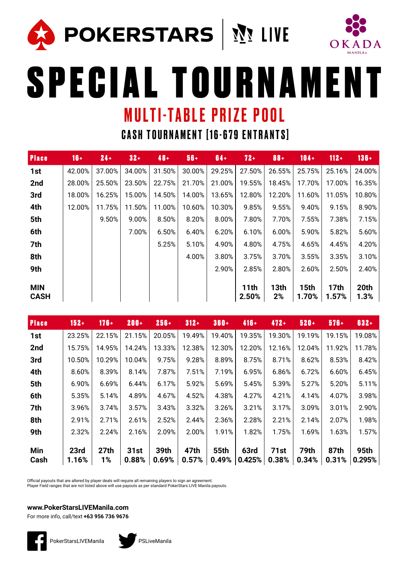**POKERSTARS** | MILIVE



SPECIAL TOURNAMENT

## MULTI-TABLE PRIZE POOL

CASH TOURNAMENT [16-679 ENTRANTS]

| <b>Place</b>              | $16+$  | $24 +$ | $32 +$ | $48 +$ | $56 +$ | $64 +$ | $72 +$                    | $88 +$     | $104 +$              | $112 +$              | $136 +$      |
|---------------------------|--------|--------|--------|--------|--------|--------|---------------------------|------------|----------------------|----------------------|--------------|
| 1st                       | 42.00% | 37.00% | 34.00% | 31.50% | 30.00% | 29.25% | 27.50%                    | 26.55%     | 25.75%               | 25.16%               | 24.00%       |
| 2nd                       | 28.00% | 25.50% | 23.50% | 22.75% | 21.70% | 21.00% | 19.55%                    | 18.45%     | 17.70%               | 17.00%               | 16.35%       |
| 3rd                       | 18.00% | 16.25% | 15.00% | 14.50% | 14.00% | 13.65% | 12.80%                    | 12.20%     | 11.60%               | 11.05%               | 10.80%       |
| 4th                       | 12.00% | 11.75% | 11.50% | 11.00% | 10.60% | 10.30% | 9.85%                     | 9.55%      | 9.40%                | 9.15%                | 8.90%        |
| 5th                       |        | 9.50%  | 9.00%  | 8.50%  | 8.20%  | 8.00%  | 7.80%                     | 7.70%      | 7.55%                | 7.38%                | 7.15%        |
| 6th                       |        |        | 7.00%  | 6.50%  | 6.40%  | 6.20%  | 6.10%                     | 6.00%      | 5.90%                | 5.82%                | 5.60%        |
| 7th                       |        |        |        | 5.25%  | 5.10%  | 4.90%  | 4.80%                     | 4.75%      | 4.65%                | 4.45%                | 4.20%        |
| 8th                       |        |        |        |        | 4.00%  | 3.80%  | 3.75%                     | 3.70%      | 3.55%                | 3.35%                | 3.10%        |
| 9th                       |        |        |        |        |        | 2.90%  | 2.85%                     | 2.80%      | 2.60%                | 2.50%                | 2.40%        |
| <b>MIN</b><br><b>CASH</b> |        |        |        |        |        |        | 11 <sub>th</sub><br>2.50% | 13th<br>2% | <b>15th</b><br>1.70% | <b>17th</b><br>1.57% | 20th<br>1.3% |

| <b>Place</b> | $152 +$       | $176 +$                | $200 +$       | $256 +$       | $312 +$       | $360 +$              | $416 +$               | $472 +$       | $520 +$       | $576+$        | 632+           |
|--------------|---------------|------------------------|---------------|---------------|---------------|----------------------|-----------------------|---------------|---------------|---------------|----------------|
| 1st          | 23.25%        | 22.15%                 | 21.15%        | 20.05%        | 19.49%        | 19.40%               | 19.35%                | 19.30%        | 19.19%        | 19.15%        | 19.08%         |
| 2nd          | 15.75%        | 14.95%                 | 14.24%        | 13.33%        | 12.38%        | 12.30%               | 12.20%                | 12.16%        | 12.04%        | 11.92%        | 11.78%         |
| 3rd          | 10.50%        | 10.29%                 | 10.04%        | 9.75%         | 9.28%         | 8.89%                | 8.75%                 | 8.71%         | 8.62%         | 8.53%         | 8.42%          |
| 4th          | 8.60%         | 8.39%                  | 8.14%         | 7.87%         | 7.51%         | 7.19%                | 6.95%                 | 6.86%         | 6.72%         | 6.60%         | 6.45%          |
| 5th          | 6.90%         | 6.69%                  | 6.44%         | 6.17%         | 5.92%         | 5.69%                | 5.45%                 | 5.39%         | 5.27%         | 5.20%         | 5.11%          |
| 6th          | 5.35%         | 5.14%                  | 4.89%         | 4.67%         | 4.52%         | 4.38%                | 4.27%                 | 4.21%         | 4.14%         | 4.07%         | 3.98%          |
| 7th          | 3.96%         | 3.74%                  | 3.57%         | 3.43%         | 3.32%         | 3.26%                | 3.21%                 | 3.17%         | 3.09%         | 3.01%         | 2.90%          |
| 8th          | 2.91%         | 2.71%                  | 2.61%         | 2.52%         | 2.44%         | 2.36%                | 2.28%                 | 2.21%         | 2.14%         | 2.07%         | 1.98%          |
| 9th          | 2.32%         | 2.24%                  | 2.16%         | 2.09%         | 2.00%         | 1.91%                | 1.82%                 | 1.75%         | 1.69%         | 1.63%         | 1.57%          |
| Min<br>Cash  | 23rd<br>1.16% | 27 <sub>th</sub><br>1% | 31st<br>0.88% | 39th<br>0.69% | 47th<br>0.57% | <b>55th</b><br>0.49% | <b>63rd</b><br>0.425% | 71st<br>0.38% | 79th<br>0.34% | 87th<br>0.31% | 95th<br>0.295% |

Official payouts that are altered by player deals will require all remaining players to sign an agreement.

Player Field ranges that are not listed above will use payouts as per standard PokerStars LIVE Manila payouts.

### **www.PokerStarsLIVEManila.com**